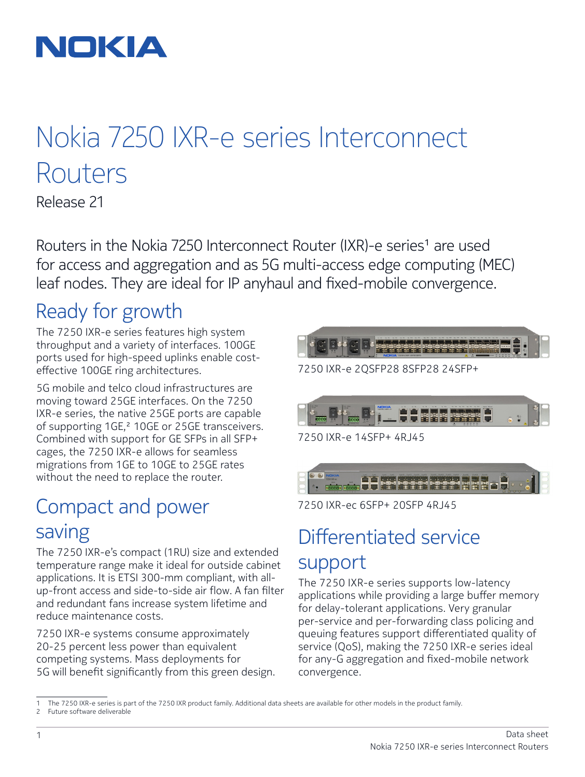

# Nokia 7250 IXR-e series Interconnect Routers

Release 21

Routers in the Nokia 7250 Interconnect Router (IXR)-e series<sup>1</sup> are used for access and aggregation and as 5G multi-access edge computing (MEC) leaf nodes. They are ideal for IP anyhaul and fixed-mobile convergence.

# Ready for growth

The 7250 IXR-e series features high system throughput and a variety of interfaces. 100GE ports used for high-speed uplinks enable costeffective 100GE ring architectures.

5G mobile and telco cloud infrastructures are moving toward 25GE interfaces. On the 7250 IXR-e series, the native 25GE ports are capable of supporting 1GE,<sup>2</sup> 10GE or 25GE transceivers. Combined with support for GE SFPs in all SFP+ cages, the 7250 IXR-e allows for seamless migrations from 1GE to 10GE to 25GE rates without the need to replace the router.

# Compact and power saving

The 7250 IXR-e's compact (1RU) size and extended temperature range make it ideal for outside cabinet applications. It is ETSI 300-mm compliant, with allup-front access and side-to-side air flow. A fan filter and redundant fans increase system lifetime and reduce maintenance costs.

7250 IXR-e systems consume approximately 20-25 percent less power than equivalent competing systems. Mass deployments for 5G will benefit significantly from this green design.



7250 IXR-ec 6SFP+ 20SFP 4RJ45

# Differentiated service support

The 7250 IXR-e series supports low-latency applications while providing a large buffer memory for delay-tolerant applications. Very granular per-service and per-forwarding class policing and queuing features support differentiated quality of service (QoS), making the 7250 IXR-e series ideal for any-G aggregation and fixed-mobile network convergence.

2 Future software deliverable

<sup>1</sup> The 7250 IXR-e series is part of the 7250 IXR product family. Additional data sheets are available for other models in the product family.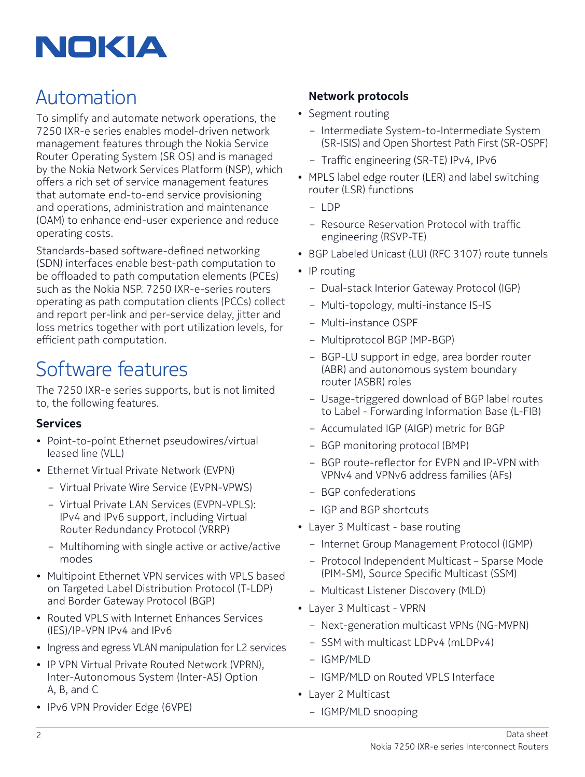

# Automation

To simplify and automate network operations, the 7250 IXR-e series enables model-driven network management features through the Nokia Service Router Operating System (SR OS) and is managed by the Nokia Network Services Platform (NSP), which offers a rich set of service management features that automate end-to-end service provisioning and operations, administration and maintenance (OAM) to enhance end-user experience and reduce operating costs.

Standards-based software-defined networking (SDN) interfaces enable best-path computation to be offloaded to path computation elements (PCEs) such as the Nokia NSP. 7250 IXR-e-series routers operating as path computation clients (PCCs) collect and report per-link and per-service delay, jitter and loss metrics together with port utilization levels, for efficient path computation.

# Software features

The 7250 IXR-e series supports, but is not limited to, the following features.

## **Services**

- Point-to-point Ethernet pseudowires/virtual leased line (VLL)
- Ethernet Virtual Private Network (EVPN)
	- Virtual Private Wire Service (EVPN-VPWS)
	- Virtual Private LAN Services (EVPN-VPLS): IPv4 and IPv6 support, including Virtual Router Redundancy Protocol (VRRP)
	- Multihoming with single active or active/active modes
- Multipoint Ethernet VPN services with VPLS based on Targeted Label Distribution Protocol (T-LDP) and Border Gateway Protocol (BGP)
- Routed VPLS with Internet Enhances Services (IES)/IP-VPN IPv4 and IPv6
- Ingress and egress VLAN manipulation for L2 services
- IP VPN Virtual Private Routed Network (VPRN), Inter-Autonomous System (Inter-AS) Option A, B, and C
- IPv6 VPN Provider Edge (6VPE)

## **Network protocols**

- Segment routing
	- Intermediate System-to-Intermediate System (SR-ISIS) and Open Shortest Path First (SR-OSPF)
	- Traffic engineering (SR-TE) IPv4, IPv6
- MPLS label edge router (LER) and label switching router (LSR) functions
	- LDP
	- Resource Reservation Protocol with traffic engineering (RSVP-TE)
- BGP Labeled Unicast (LU) (RFC 3107) route tunnels
- IP routing
	- Dual-stack Interior Gateway Protocol (IGP)
	- Multi-topology, multi-instance IS-IS
	- Multi-instance OSPF
	- Multiprotocol BGP (MP-BGP)
	- BGP-LU support in edge, area border router (ABR) and autonomous system boundary router (ASBR) roles
	- Usage-triggered download of BGP label routes to Label - Forwarding Information Base (L-FIB)
	- Accumulated IGP (AIGP) metric for BGP
	- BGP monitoring protocol (BMP)
	- BGP route-reflector for EVPN and IP-VPN with VPNv4 and VPNv6 address families (AFs)
	- BGP confederations
	- IGP and BGP shortcuts
- Layer 3 Multicast base routing
	- Internet Group Management Protocol (IGMP)
	- Protocol Independent Multicast Sparse Mode (PIM-SM), Source Specific Multicast (SSM)
	- Multicast Listener Discovery (MLD)
- Layer 3 Multicast VPRN
	- Next-generation multicast VPNs (NG-MVPN)
	- SSM with multicast LDPv4 (mLDPv4)
	- IGMP/MLD
	- IGMP/MLD on Routed VPLS Interface
- Layer 2 Multicast
	- IGMP/MLD snooping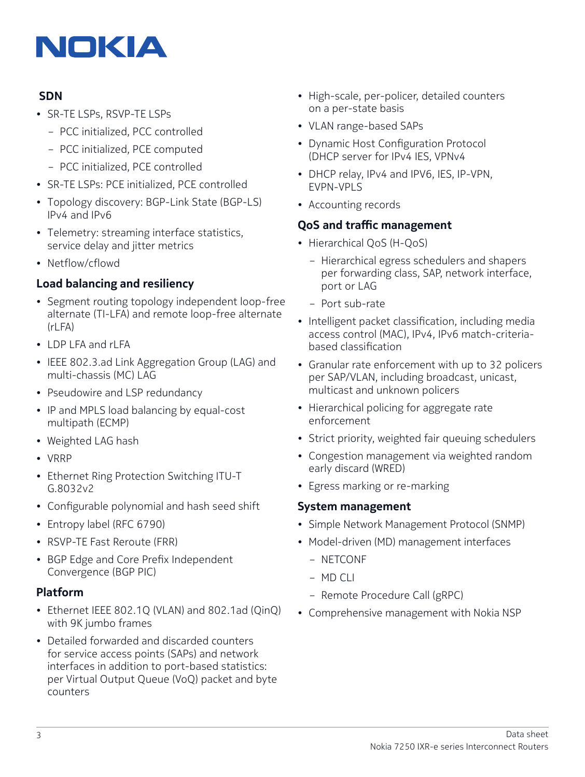# NOKIA

# **SDN**

- SR-TE LSPs, RSVP-TE LSPs
	- PCC initialized, PCC controlled
	- PCC initialized, PCE computed
	- PCC initialized, PCE controlled
- SR-TE LSPs: PCE initialized, PCE controlled
- Topology discovery: BGP-Link State (BGP-LS) IPv4 and IPv6
- Telemetry: streaming interface statistics, service delay and jitter metrics
- Netflow/cflowd

# **Load balancing and resiliency**

- Segment routing topology independent loop-free alternate (TI-LFA) and remote loop-free alternate  $(rIFA)$
- LDP LFA and rLFA
- IEEE 802.3.ad Link Aggregation Group (LAG) and multi-chassis (MC) LAG
- Pseudowire and LSP redundancy
- IP and MPLS load balancing by equal-cost multipath (ECMP)
- Weighted LAG hash
- VRRP
- Ethernet Ring Protection Switching ITU-T G.8032v2
- Configurable polynomial and hash seed shift
- Entropy label (RFC 6790)
- RSVP-TE Fast Reroute (FRR)
- BGP Edge and Core Prefix Independent Convergence (BGP PIC)

## **Platform**

- Ethernet IEEE 802.1Q (VLAN) and 802.1ad (QinQ) with 9K jumbo frames
- Detailed forwarded and discarded counters for service access points (SAPs) and network interfaces in addition to port-based statistics: per Virtual Output Queue (VoQ) packet and byte counters
- High-scale, per-policer, detailed counters on a per-state basis
- VLAN range-based SAPs
- Dynamic Host Configuration Protocol (DHCP server for IPv4 IES, VPNv4
- DHCP relay, IPv4 and IPV6, IES, IP-VPN, EVPN-VPLS
- Accounting records

## **QoS and traffic management**

- Hierarchical QoS (H-QoS)
	- Hierarchical egress schedulers and shapers per forwarding class, SAP, network interface, port or LAG
	- Port sub-rate
- Intelligent packet classification, including media access control (MAC), IPv4, IPv6 match-criteriabased classification
- Granular rate enforcement with up to 32 policers per SAP/VLAN, including broadcast, unicast, multicast and unknown policers
- Hierarchical policing for aggregate rate enforcement
- Strict priority, weighted fair queuing schedulers
- Congestion management via weighted random early discard (WRED)
- Egress marking or re-marking

## **System management**

- Simple Network Management Protocol (SNMP)
- Model-driven (MD) management interfaces
	- NETCONF
	- MD CLI
	- Remote Procedure Call (gRPC)
- Comprehensive management with Nokia NSP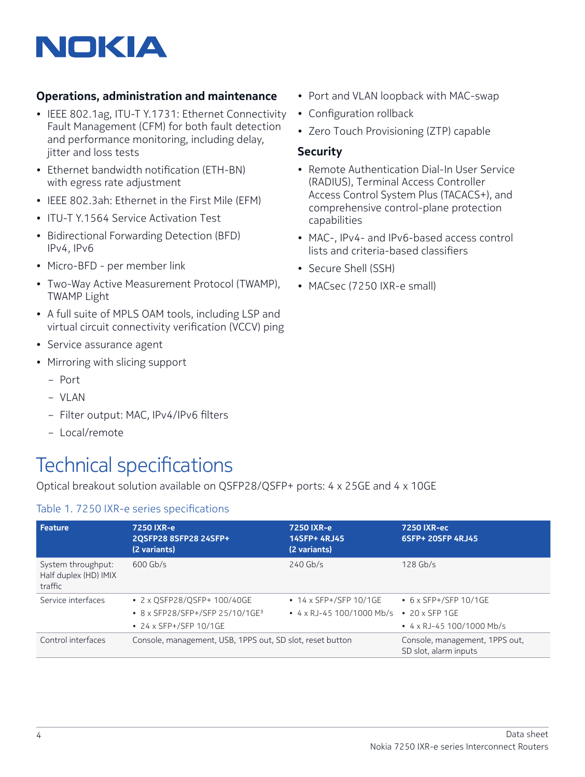# NOKIA

## **Operations, administration and maintenance**

- IEEE 802.1ag, ITU-T Y.1731: Ethernet Connectivity Fault Management (CFM) for both fault detection and performance monitoring, including delay, jitter and loss tests
- Ethernet bandwidth notification (ETH-BN) with egress rate adjustment
- IEEE 802.3ah: Ethernet in the First Mile (EFM)
- ITU-T Y.1564 Service Activation Test
- Bidirectional Forwarding Detection (BFD) IPv4, IPv6
- Micro-BFD per member link
- Two-Way Active Measurement Protocol (TWAMP), TWAMP Light
- A full suite of MPLS OAM tools, including LSP and virtual circuit connectivity verification (VCCV) ping
- Service assurance agent
- Mirroring with slicing support
	- Port
	- $-$  VI AN
	- Filter output: MAC, IPv4/IPv6 filters
	- Local/remote

# Technical specifications

Optical breakout solution available on QSFP28/QSFP+ ports: 4 x 25GE and 4 x 10GE

## Table 1. 7250 IXR-e series specifications

- Port and VLAN loopback with MAC-swap
- Configuration rollback
- Zero Touch Provisioning (ZTP) capable

### **Security**

- Remote Authentication Dial-In User Service (RADIUS), Terminal Access Controller Access Control System Plus (TACACS+), and comprehensive control-plane protection capabilities
- MAC-, IPv4- and IPv6-based access control lists and criteria-based classifiers
- Secure Shell (SSH)
- MACsec (7250 IXR-e small)

| Feature                                                | 7250 IXR-e<br>2QSFP28 8SFP28 24SFP+<br>(2 variants)                                                        | 7250 IXR-e<br>14SFP+ 4RJ45<br>(2 variants)                      | 7250 IXR-ec<br>6SFP+ 20SFP 4RJ45                                                       |
|--------------------------------------------------------|------------------------------------------------------------------------------------------------------------|-----------------------------------------------------------------|----------------------------------------------------------------------------------------|
| System throughput:<br>Half duplex (HD) IMIX<br>traffic | $600$ Gb/s                                                                                                 | $240$ Gb/s                                                      | $128$ Gb/s                                                                             |
| Service interfaces                                     | • 2 x OSFP28/OSFP+ 100/40GE<br>• 8 x SFP28/SFP+/SFP 25/10/1GE <sup>3</sup><br>$\cdot$ 24 x SFP+/SFP 10/1GE | $\cdot$ 14 x SFP+/SFP 10/1GE<br>$\cdot$ 4 x RJ-45 100/1000 Mb/s | $\cdot$ 6 x SFP+/SFP 10/1GE<br>$\cdot$ 20 x SFP 1GE<br>$\cdot$ 4 x RJ-45 100/1000 Mb/s |
| Control interfaces                                     | Console, management, USB, 1PPS out, SD slot, reset button                                                  |                                                                 | Console, management, 1PPS out,<br>SD slot, alarm inputs                                |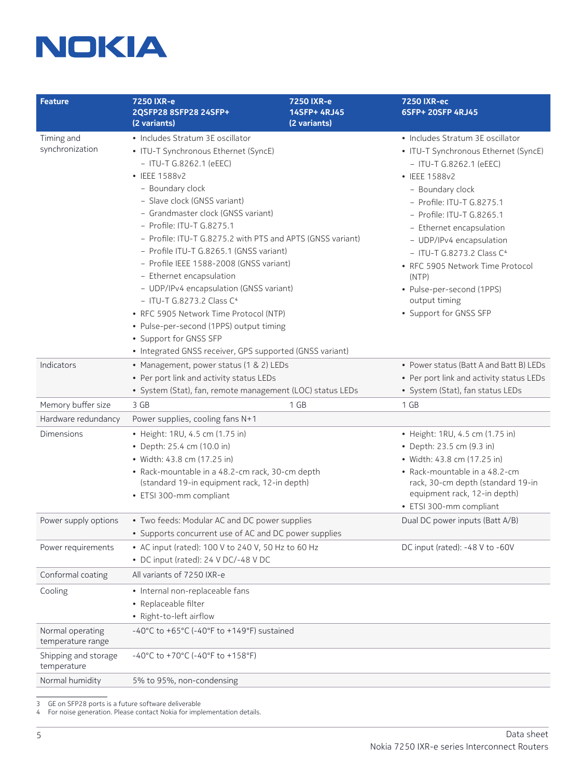# **NOKIA**

| <b>Feature</b>                        | 7250 IXR-e<br>2QSFP28 8SFP28 24SFP+<br>(2 variants)                                                                                                                                                                                                                                                                                                                                                                                                                                                                                                                                                                                                                                        | 7250 IXR-e<br>14SFP+ 4RJ45<br>(2 variants) | <b>7250 IXR-ec</b><br>6SFP+ 20SFP 4RJ45                                                                                                                                                                                                                                                                                                                                                                                  |
|---------------------------------------|--------------------------------------------------------------------------------------------------------------------------------------------------------------------------------------------------------------------------------------------------------------------------------------------------------------------------------------------------------------------------------------------------------------------------------------------------------------------------------------------------------------------------------------------------------------------------------------------------------------------------------------------------------------------------------------------|--------------------------------------------|--------------------------------------------------------------------------------------------------------------------------------------------------------------------------------------------------------------------------------------------------------------------------------------------------------------------------------------------------------------------------------------------------------------------------|
| Timing and<br>synchronization         | • Includes Stratum 3E oscillator<br>• ITU-T Synchronous Ethernet (SyncE)<br>- ITU-T G.8262.1 (eEEC)<br>• IEEE 1588v2<br>- Boundary clock<br>- Slave clock (GNSS variant)<br>- Grandmaster clock (GNSS variant)<br>- Profile: ITU-T G.8275.1<br>- Profile: ITU-T G.8275.2 with PTS and APTS (GNSS variant)<br>- Profile ITU-T G.8265.1 (GNSS variant)<br>- Profile IEEE 1588-2008 (GNSS variant)<br>- Ethernet encapsulation<br>- UDP/IPv4 encapsulation (GNSS variant)<br>- ITU-T G.8273.2 Class C <sup>4</sup><br>• RFC 5905 Network Time Protocol (NTP)<br>• Pulse-per-second (1PPS) output timing<br>• Support for GNSS SFP<br>• Integrated GNSS receiver, GPS supported (GNSS variant) |                                            | • Includes Stratum 3E oscillator<br>• ITU-T Synchronous Ethernet (SyncE)<br>- ITU-T G.8262.1 (eEEC)<br>• IEEE 1588v2<br>- Boundary clock<br>- Profile: ITU-T G.8275.1<br>- Profile: ITU-T G.8265.1<br>- Ethernet encapsulation<br>- UDP/IPv4 encapsulation<br>- ITU-T G.8273.2 Class C <sup>4</sup><br>• RFC 5905 Network Time Protocol<br>(NTP)<br>• Pulse-per-second (1PPS)<br>output timing<br>• Support for GNSS SFP |
| Indicators                            | • Management, power status (1 & 2) LEDs<br>• Per port link and activity status LEDs<br>· System (Stat), fan, remote management (LOC) status LEDs                                                                                                                                                                                                                                                                                                                                                                                                                                                                                                                                           |                                            | • Power status (Batt A and Batt B) LEDs<br>• Per port link and activity status LEDs<br>· System (Stat), fan status LEDs                                                                                                                                                                                                                                                                                                  |
| Memory buffer size                    | 3 GB                                                                                                                                                                                                                                                                                                                                                                                                                                                                                                                                                                                                                                                                                       | 1 GB                                       | 1 GB                                                                                                                                                                                                                                                                                                                                                                                                                     |
| Hardware redundancy                   | Power supplies, cooling fans N+1                                                                                                                                                                                                                                                                                                                                                                                                                                                                                                                                                                                                                                                           |                                            |                                                                                                                                                                                                                                                                                                                                                                                                                          |
| <b>Dimensions</b>                     | • Height: 1RU, 4.5 cm (1.75 in)<br>• Depth: 25.4 cm (10.0 in)<br>• Width: 43.8 cm (17.25 in)<br>· Rack-mountable in a 48.2-cm rack, 30-cm depth<br>(standard 19-in equipment rack, 12-in depth)<br>• ETSI 300-mm compliant                                                                                                                                                                                                                                                                                                                                                                                                                                                                 |                                            | • Height: 1RU, 4.5 cm (1.75 in)<br>• Depth: 23.5 cm (9.3 in)<br>• Width: 43.8 cm (17.25 in)<br>· Rack-mountable in a 48.2-cm<br>rack, 30-cm depth (standard 19-in<br>equipment rack, 12-in depth)<br>• ETSI 300-mm compliant                                                                                                                                                                                             |
| Power supply options                  | • Two feeds: Modular AC and DC power supplies<br>• Supports concurrent use of AC and DC power supplies                                                                                                                                                                                                                                                                                                                                                                                                                                                                                                                                                                                     |                                            | Dual DC power inputs (Batt A/B)                                                                                                                                                                                                                                                                                                                                                                                          |
| Power requirements                    | • AC input (rated): 100 V to 240 V, 50 Hz to 60 Hz<br>• DC input (rated): 24 V DC/-48 V DC                                                                                                                                                                                                                                                                                                                                                                                                                                                                                                                                                                                                 |                                            | DC input (rated): -48 V to -60V                                                                                                                                                                                                                                                                                                                                                                                          |
| Conformal coating                     | All variants of 7250 IXR-e                                                                                                                                                                                                                                                                                                                                                                                                                                                                                                                                                                                                                                                                 |                                            |                                                                                                                                                                                                                                                                                                                                                                                                                          |
| Cooling                               | · Internal non-replaceable fans<br>• Replaceable filter<br>• Right-to-left airflow                                                                                                                                                                                                                                                                                                                                                                                                                                                                                                                                                                                                         |                                            |                                                                                                                                                                                                                                                                                                                                                                                                                          |
| Normal operating<br>temperature range | -40°C to +65°C (-40°F to +149°F) sustained                                                                                                                                                                                                                                                                                                                                                                                                                                                                                                                                                                                                                                                 |                                            |                                                                                                                                                                                                                                                                                                                                                                                                                          |
| Shipping and storage<br>temperature   | $-40^{\circ}$ C to +70 $^{\circ}$ C (-40 $^{\circ}$ F to +158 $^{\circ}$ F)                                                                                                                                                                                                                                                                                                                                                                                                                                                                                                                                                                                                                |                                            |                                                                                                                                                                                                                                                                                                                                                                                                                          |
| Normal humidity                       | 5% to 95%, non-condensing                                                                                                                                                                                                                                                                                                                                                                                                                                                                                                                                                                                                                                                                  |                                            |                                                                                                                                                                                                                                                                                                                                                                                                                          |

<sup>3</sup> GE on SFP28 ports is a future software deliverable

<sup>4</sup> For noise generation. Please contact Nokia for implementation details.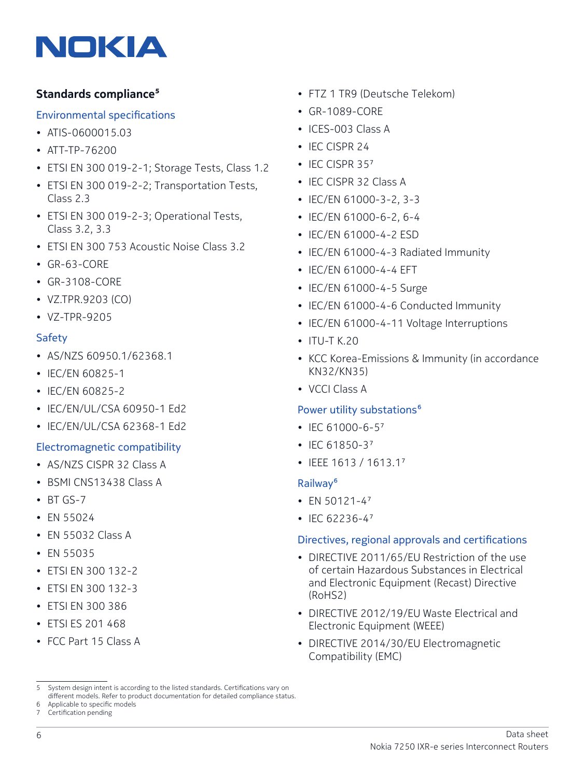

## **Standards compliance5**

#### Environmental specifications

- ATIS-0600015.03
- ATT-TP-76200
- ETSI EN 300 019-2-1; Storage Tests, Class 1.2
- ETSI EN 300 019-2-2; Transportation Tests, Class 2.3
- ETSI EN 300 019-2-3; Operational Tests, Class 3.2, 3.3
- ETSI EN 300 753 Acoustic Noise Class 3.2
- GR-63-CORE
- GR-3108-CORE
- VZ.TPR.9203 (CO)
- VZ-TPR-9205

#### Safety

- AS/NZS 60950.1/62368.1
- IEC/EN 60825-1
- IEC/EN 60825-2
- IEC/EN/UL/CSA 60950-1 Ed2
- IEC/EN/UL/CSA 62368-1 Ed2

#### Electromagnetic compatibility

- AS/NZS CISPR 32 Class A
- BSMI CNS13438 Class A
- BT GS-7
- EN 55024
- EN 55032 Class A
- EN 55035
- ETSI EN 300 132-2
- ETSI EN 300 132-3
- ETSI EN 300 386
- ETSI ES 201 468
- FCC Part 15 Class A
- FTZ 1 TR9 (Deutsche Telekom)
- GR-1089-CORE
- ICES-003 Class A
- IEC CISPR 24
- IEC CISPR 357
- IEC CISPR 32 Class A
- IEC/EN 61000-3-2, 3-3
- IEC/EN 61000-6-2, 6-4
- IEC/EN 61000-4-2 ESD
- IEC/EN 61000-4-3 Radiated Immunity
- IEC/EN 61000-4-4 EFT
- IEC/EN 61000-4-5 Surge
- IEC/EN 61000-4-6 Conducted Immunity
- IEC/EN 61000-4-11 Voltage Interruptions
- ITU-T K.20
- KCC Korea-Emissions & Immunity (in accordance KN32/KN35)
- VCCI Class A

## Power utility substations<sup>6</sup>

- IEC 61000-6-57
- IFC 61850-37
- IEEE 1613 / 1613.17

#### Railway6

- FN 50121-47
- IEC 62236-47

#### Directives, regional approvals and certifications

- DIRECTIVE 2011/65/EU Restriction of the use of certain Hazardous Substances in Electrical and Electronic Equipment (Recast) Directive (RoHS2)
- DIRECTIVE 2012/19/EU Waste Electrical and Electronic Equipment (WEEE)
- DIRECTIVE 2014/30/EU Electromagnetic Compatibility (EMC)

<sup>5</sup> System design intent is according to the listed standards. Certifications vary on different models. Refer to product documentation for detailed compliance status.

<sup>6</sup> Applicable to specific models Certification pending